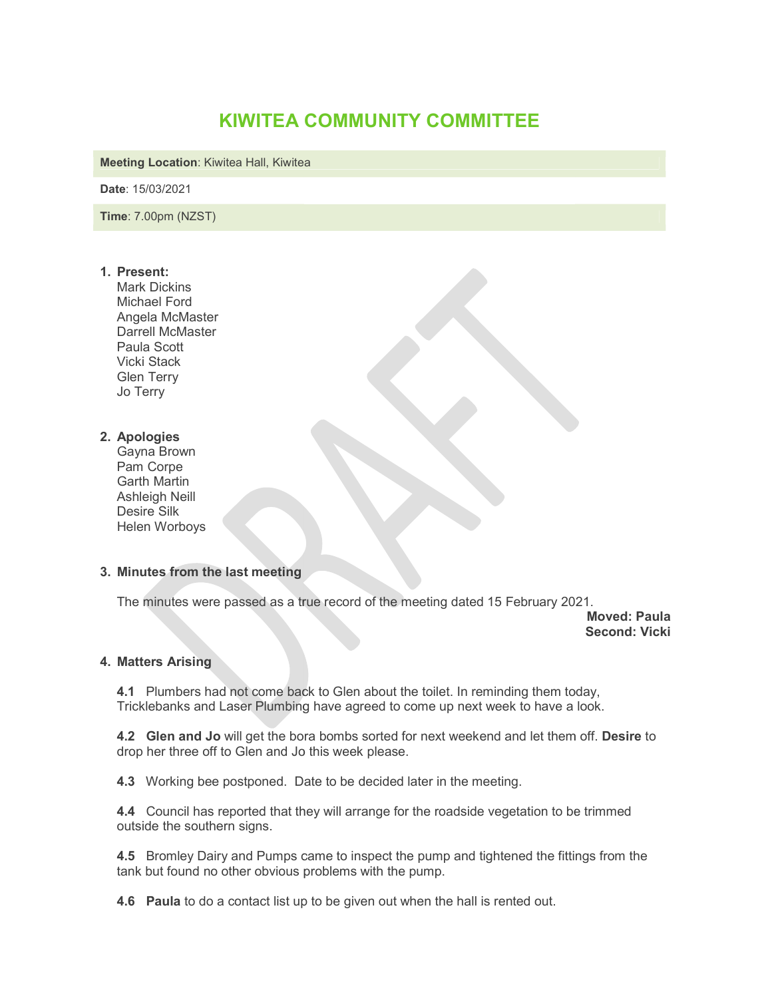# KIWITEA COMMUNITY COMMITTEE

Meeting Location: Kiwitea Hall, Kiwitea

Date: 15/03/2021

Time: 7.00pm (NZST)

#### 1. Present:

Mark Dickins Michael Ford Angela McMaster Darrell McMaster Paula Scott Vicki Stack Glen Terry Jo Terry

## 2. Apologies

 Gayna Brown Pam Corpe Garth Martin Ashleigh Neill Desire Silk Helen Worboys

## 3. Minutes from the last meeting

The minutes were passed as a true record of the meeting dated 15 February 2021.

Moved: Paula Second: Vicki

## 4. Matters Arising

4.1 Plumbers had not come back to Glen about the toilet. In reminding them today, **4.1** Plumbers had not come back to Glen about the toilet. In reminding them today,<br>Tricklebanks and Laser Plumbing have agreed to come up next week to have a look.

**4.2 Glen and Jo** will get the bora bombs sorted for next weekend and let them off. Desire to drop her three off to Glen and Jo this week please. re passed as a true record of the meeting dated 15 February 2021.<br> **Moved: Paula**<br> **Second: Vicki**<br> **g**<br>
had not come back to Glen about the toilet. In reminding them today,<br> **Jo** will get the bora bombs sorted for next we

4.3 Working bee postponed. Date to be decided later in the meeting.

4.4 Council has reported that they will arrange for the roadside vegetation to be trimmed outside the southern signs.

**4.5** Bromley Dairy and Pumps came to inspect the pump and tightened the fittings from the tank but found no other obvious problems with the pump. tank but found no other obvious problems with the pump.<br>**4.6 Paula** to do a contact list up to be given out when the hall is rented out.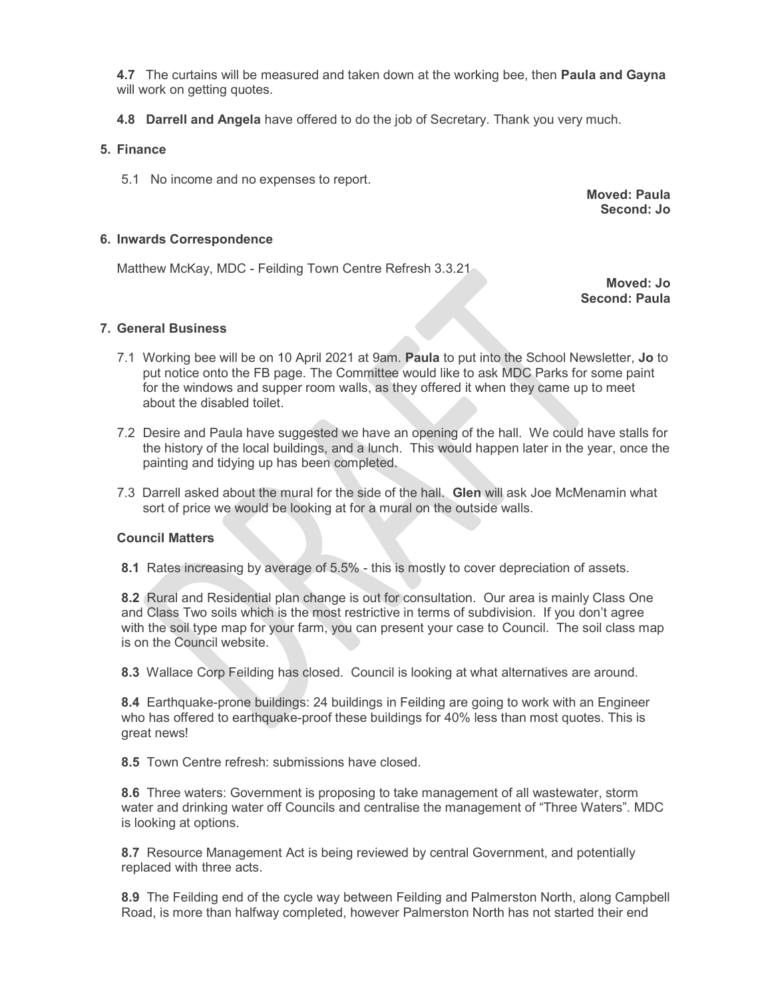4.7 The curtains will be measured and taken down at the working bee, then **Paula and Gayna** will work on getting quotes.

4.8 Darrell and Angela have offered to do the job of Secretary. Thank you very much.

## 5. Finance

5.1 No income and no expenses to report.

Moved: Paula Second: Jo

## 6. Inwards Correspondence

Matthew McKay, MDC - Feilding Town Centre Refresh 3.3.21

Moved: Jo Second: Paula

#### 7. General Business

- 7.1 Working bee will be on 10 April 2021 at 9am. Paula to put into the School Newsletter, Jo to put notice onto the FB page. The Committee would like to ask MDC Parks for some paint for the windows and supper room walls, as they offered it when they came up to meet about the disabled toilet.
- 7.2 Desire and Paula have suggested we have an opening of the hall. We could have stalls for the history of the local buildings, and a lunch. This would happen later in the year, once the painting and tidying up has been completed.
- 7.3 Darrell asked about the mural for the side of the hall. Glen will ask Joe McMenamin what sort of price we would be looking at for a mural on the outside walls.

## Council Matters

8.1 Rates increasing by average of 5.5% - this is mostly to cover depreciation of assets.

8.2 Rural and Residential plan change is out for consultation. Our area is mainly Class One and Class Two soils which is the most restrictive in terms of subdivision. If you don't agree with the soil type map for your farm, you can present your case to Council. The soil class map is on the Council website.

8.3 Wallace Corp Feilding has closed. Council is looking at what alternatives are around.

8.4 Earthquake-prone buildings: 24 buildings in Feilding are going to work with an Engineer who has offered to earthquake-proof these buildings for 40% less than most quotes. This is great news!

8.5 Town Centre refresh: submissions have closed.

8.6 Three waters: Government is proposing to take management of all wastewater, storm water and drinking water off Councils and centralise the management of "Three Waters". MDC is looking at options.

8.7 Resource Management Act is being reviewed by central Government, and potentially replaced with three acts.

8.9 The Feilding end of the cycle way between Feilding and Palmerston North, along Campbell Road, is more than halfway completed, however Palmerston North has not started their end